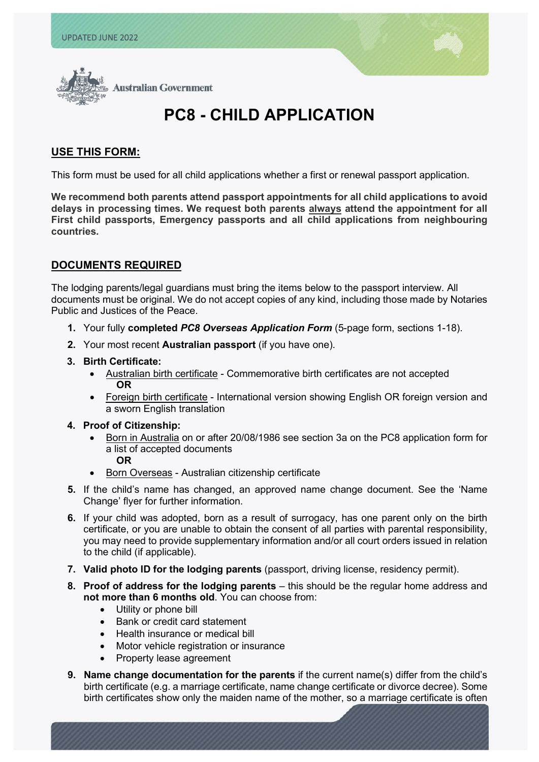l



# **PC8 - CHILD APPLICATION**

# **USE THIS FORM:**

This form must be used for all child applications whether a first or renewal passport application.

**We recommend both parents attend passport appointments for all child applications to avoid delays in processing times. We request both parents always attend the appointment for all First child passports, Emergency passports and all child applications from neighbouring countries.**

# **DOCUMENTS REQUIRED**

The lodging parents/legal guardians must bring the items below to the passport interview. All documents must be original. We do not accept copies of any kind, including those made by Notaries Public and Justices of the Peace.

- **1.** Your fully **completed** *PC8 Overseas Application Form* (5-page form, sections 1-18).
- **2.** Your most recent **Australian passport** (if you have one).
- **3. Birth Certificate:** 
	- Australian birth certificate Commemorative birth certificates are not accepted **OR**
	- Foreign birth certificate International version showing English OR foreign version and a sworn English translation

#### **4. Proof of Citizenship:**

- Born in Australia on or after 20/08/1986 see section 3a on the PC8 application form for a list of accepted documents **OR**
- Born Overseas Australian citizenship certificate
- **5.** If the child's name has changed, an approved name change document. See the 'Name Change' flyer for further information.
- **6.** If your child was adopted, born as a result of surrogacy, has one parent only on the birth certificate, or you are unable to obtain the consent of all parties with parental responsibility, you may need to provide supplementary information and/or all court orders issued in relation to the child (if applicable).
- **7. Valid photo ID for the lodging parents** (passport, driving license, residency permit).
- **8. Proof of address for the lodging parents** this should be the regular home address and **not more than 6 months old**. You can choose from:
	- Utility or phone bill
	- Bank or credit card statement
	- Health insurance or medical bill
	- Motor vehicle registration or insurance
	- Property lease agreement
- **9. Name change documentation for the parents** if the current name(s) differ from the child's birth certificate (e.g. a marriage certificate, name change certificate or divorce decree). Some birth certificates show only the maiden name of the mother, so a marriage certificate is often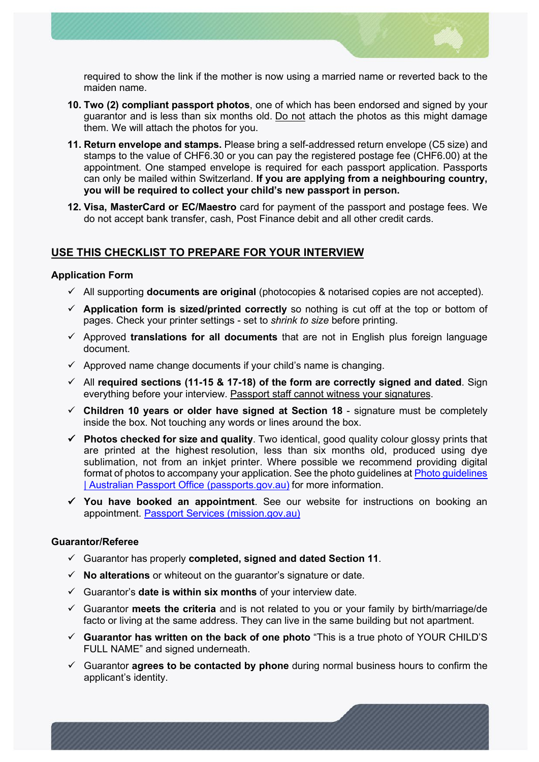

required to show the link if the mother is now using a married name or reverted back to the maiden name.

- **10. Two [\(2\) compliant passport photos](https://usa.embassy.gov.au/passport-photos)**, one of which has been endorsed and signed by your guarantor and is less than six months old. Do not attach the photos as this might damage them. We will attach the photos for you.
- **11. Return envelope and stamps.** Please bring a self-addressed return envelope (C5 size) and stamps to the value of CHF6.30 or you can pay the registered postage fee (CHF6.00) at the appointment. One stamped envelope is required for each passport application. Passports can only be mailed within Switzerland. **If you are applying from a neighbouring country, you will be required to collect your child's new passport in person.**
- **12. Visa, MasterCard or EC/Maestro** card for payment of the passport and postage fees. We do not accept bank transfer, cash, Post Finance debit and all other credit cards.

# **USE THIS CHECKLIST TO PREPARE FOR YOUR INTERVIEW**

#### **Application Form**

- All supporting **documents are original** (photocopies & notarised copies are not accepted).
- $\checkmark$  Application form is sized/printed correctly so nothing is cut off at the top or bottom of pages. Check your printer settings - set to *shrink to size* before printing.
- $\checkmark$  Approved **translations for all documents** that are not in English plus foreign language document.
- $\checkmark$  Approved name change documents if your child's name is changing.
- All **required sections (11-15 & 17-18) of the form are correctly signed and dated**. Sign everything before your interview. Passport staff cannot witness your signatures.
- **Children 10 years or older have signed at Section 18** signature must be completely inside the box. Not touching any words or lines around the box.
- **Photos checked for size and quality**. Two identical, good quality colour glossy prints that are printed at the highest resolution, less than six months old, produced using dye sublimation, not from an inkiet printer. Where possible we recommend providing digital format of photos to accompany your application. See the photo guidelines at [Photo guidelines](https://www.passports.gov.au/getting-passport-how-it-works/photo-guidelines)  [| Australian Passport Office \(passports.gov.au\)](https://www.passports.gov.au/getting-passport-how-it-works/photo-guidelines) for more information.
- **You have booked an appointment**. See our website for instructions on booking an appointment. [Passport Services \(mission.gov.au\)](https://geneva.mission.gov.au/gene/cons_pass2.html)

#### **Guarantor/Referee**

- Guarantor has properly **completed, signed and dated Section 11**.
- **No alterations** or whiteout on the guarantor's signature or date.
- Guarantor's **date is within six months** of your interview date.
- Guarantor **meets the criteria** and is not related to you or your family by birth/marriage/de facto or living at the same address. They can live in the same building but not apartment.
- **Guarantor has written on the back of one photo** "This is a true photo of YOUR CHILD'S FULL NAME" and signed underneath.
- Guarantor **agrees to be contacted by phone** during normal business hours to confirm the applicant's identity.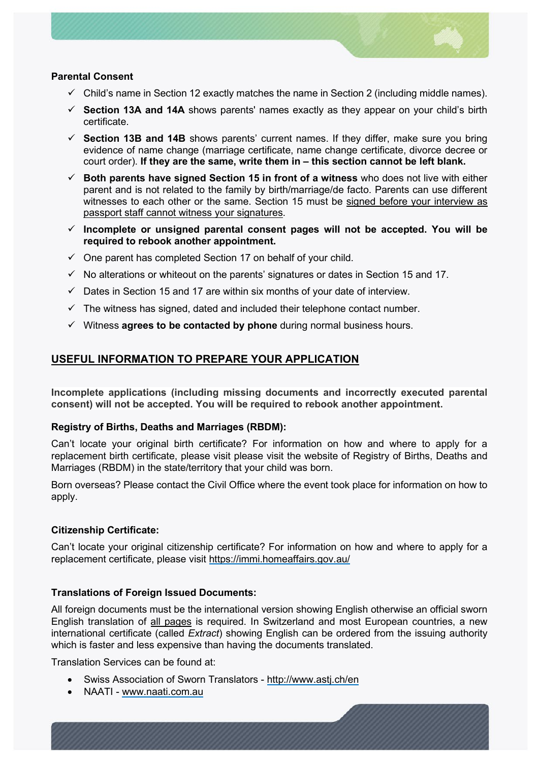

#### **Parental Consent**

- $\checkmark$  Child's name in Section 12 exactly matches the name in Section 2 (including middle names).
- **Section 13A and 14A** shows parents' names exactly as they appear on your child's birth certificate.
- **Section 13B and 14B** shows parents' current names. If they differ, make sure you bring evidence of name change (marriage certificate, name change certificate, divorce decree or court order). **If they are the same, write them in – this section cannot be left blank.**
- $\checkmark$  Both parents have signed Section 15 in front of a witness who does not live with either parent and is not related to the family by birth/marriage/de facto. Parents can use different witnesses to each other or the same. Section 15 must be signed before your interview as passport staff cannot witness your signatures.
- **Incomplete or unsigned parental consent pages will not be accepted. You will be required to rebook another appointment.**
- $\checkmark$  One parent has completed Section 17 on behalf of your child.
- $\checkmark$  No alterations or whiteout on the parents' signatures or dates in Section 15 and 17.
- $\checkmark$  Dates in Section 15 and 17 are within six months of your date of interview.
- $\checkmark$  The witness has signed, dated and included their telephone contact number.
- Witness **agrees to be contacted by phone** during normal business hours.

# **USEFUL INFORMATION TO PREPARE YOUR APPLICATION**

**Incomplete applications (including missing documents and incorrectly executed parental consent) will not be accepted. You will be required to rebook another appointment.**

#### **Registry of Births, Deaths and Marriages (RBDM):**

Can't locate your original birth certificate? For information on how and where to apply for a replacement birth certificate, please visit please visit the website of Registry of Births, Deaths and Marriages (RBDM) in the state/territory that your child was born.

Born overseas? Please contact the Civil Office where the event took place for information on how to apply.

## **Citizenship Certificate:**

Can't locate your original citizenship certificate? For information on how and where to apply for a replacement certificate, please visit<https://immi.homeaffairs.gov.au/>

## **Translations of Foreign Issued Documents:**

All foreign documents must be the international version showing English otherwise an official sworn English translation of all pages is required. In Switzerland and most European countries, a new international certificate (called *Extract*) showing English can be ordered from the issuing authority which is faster and less expensive than having the documents translated.

Translation Services can be found at:

- Swiss Association of Sworn Translators <http://www.astj.ch/en>
- NAATI [www.naati.com.au](http://www.naati.com.au/)